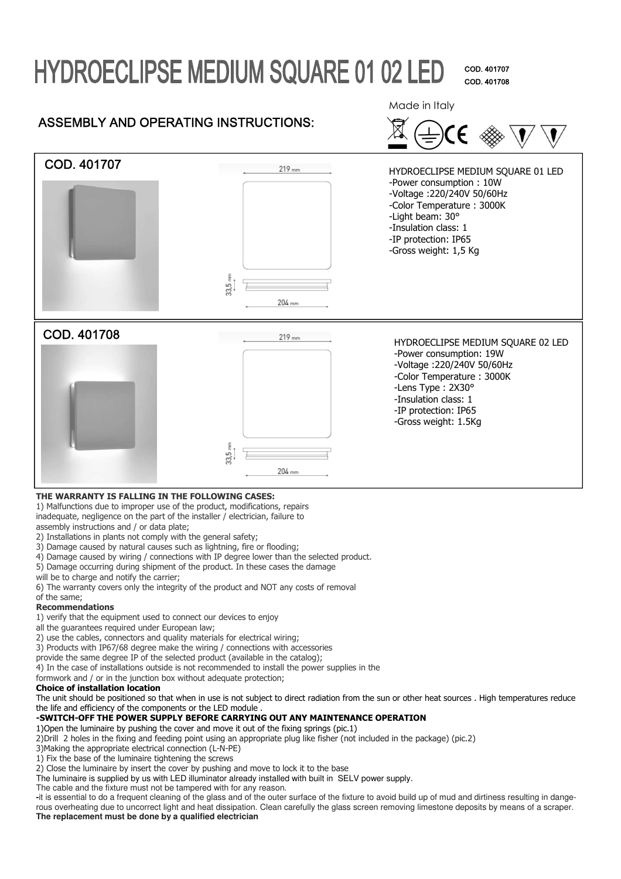# **HYDROECLIPSE MEDIUM SQUARE 01 02 LED**

COD. 401707 COD. 401708

## ASSEMBLY AND OPERATING INSTRUCTIONS:

Made in Italy





#### **THE WARRANTY IS FALLING IN THE FOLLOWING CASES:**

1) Malfunctions due to improper use of the product, modifications, repairs inadequate, negligence on the part of the installer / electrician, failure to assembly instructions and / or data plate;

- 2) Installations in plants not comply with the general safety;
- 3) Damage caused by natural causes such as lightning, fire or flooding;
- 4) Damage caused by wiring / connections with IP degree lower than the selected product.
- 5) Damage occurring during shipment of the product. In these cases the damage
- will be to charge and notify the carrier;
- 6) The warranty covers only the integrity of the product and NOT any costs of removal
- of the same;

### **Recommendations**

1) verify that the equipment used to connect our devices to enjoy

- all the quarantees required under European law;
- 2) use the cables, connectors and quality materials for electrical wiring;
- 3) Products with IP67/68 degree make the wiring / connections with accessories
- provide the same degree IP of the selected product (available in the catalog);
- 4) In the case of installations outside is not recommended to install the power supplies in the

formwork and / or in the junction box without adequate protection;

#### **Choice of installation location**

The unit should be positioned so that when in use is not subject to direct radiation from the sun or other heat sources . High temperatures reduce the life and efficiency of the components or the LED module .

## **-SWITCH-OFF THE POWER SUPPLY BEFORE CARRYING OUT ANY MAINTENANCE OPERATION**

1)Open the luminaire by pushing the cover and move it out of the fixing springs (pic.1) 2)Drill 2 holes in the fixing and feeding point using an appropriate plug like fisher (not included in the package) (pic.2)

- 3)Making the appropriate electrical connection (L-N-PE)
- 1) Fix the base of the luminaire tightening the screws
- 2) Close the luminaire by insert the cover by pushing and move to lock it to the base
- The luminaire is supplied by us with LED illuminator already installed with built in SELV power supply.

The cable and the fixture must not be tampered with for any reason.

**-**it is essential to do a frequent cleaning of the glass and of the outer surface of the fixture to avoid build up of mud and dirtiness resulting in dangerous overheating due to uncorrect light and heat dissipation. Clean carefully the glass screen removing limestone deposits by means of a scraper. **The replacement must be done by a qualified electrician**